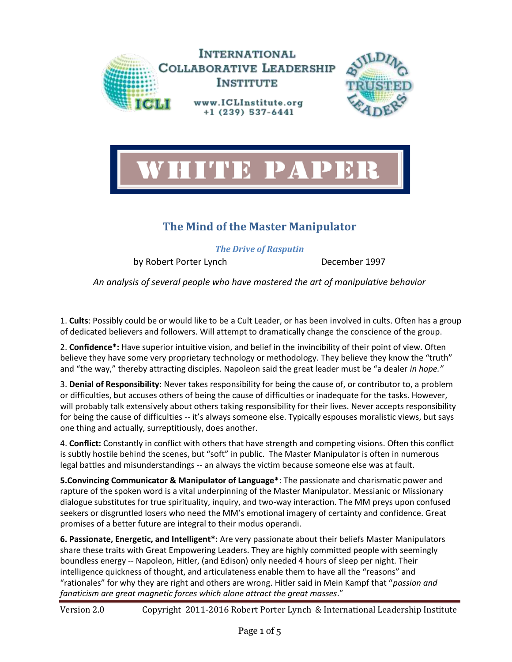



## **The Mind of the Master Manipulator**

*The Drive of Rasputin*

by Robert Porter Lynch December 1997

*An analysis of several people who have mastered the art of manipulative behavior*

1. **Cults**: Possibly could be or would like to be a Cult Leader, or has been involved in cults. Often has a group of dedicated believers and followers. Will attempt to dramatically change the conscience of the group.

2. **Confidence\*:** Have superior intuitive vision, and belief in the invincibility of their point of view. Often believe they have some very proprietary technology or methodology. They believe they know the "truth" and "the way," thereby attracting disciples. Napoleon said the great leader must be "a dealer *in hope."*

3. **Denial of Responsibility**: Never takes responsibility for being the cause of, or contributor to, a problem or difficulties, but accuses others of being the cause of difficulties or inadequate for the tasks. However, will probably talk extensively about others taking responsibility for their lives. Never accepts responsibility for being the cause of difficulties -- it's always someone else. Typically espouses moralistic views, but says one thing and actually, surreptitiously, does another.

4. **Conflict:** Constantly in conflict with others that have strength and competing visions. Often this conflict is subtly hostile behind the scenes, but "soft" in public. The Master Manipulator is often in numerous legal battles and misunderstandings -- an always the victim because someone else was at fault.

**5.Convincing Communicator & Manipulator of Language\***: The passionate and charismatic power and rapture of the spoken word is a vital underpinning of the Master Manipulator. Messianic or Missionary dialogue substitutes for true spirituality, inquiry, and two-way interaction. The MM preys upon confused seekers or disgruntled losers who need the MM's emotional imagery of certainty and confidence. Great promises of a better future are integral to their modus operandi.

**6. Passionate, Energetic, and Intelligent\*:** Are very passionate about their beliefs Master Manipulators share these traits with Great Empowering Leaders. They are highly committed people with seemingly boundless energy -- Napoleon, Hitler, (and Edison) only needed 4 hours of sleep per night. Their intelligence quickness of thought, and articulateness enable them to have all the "reasons" and "rationales" for why they are right and others are wrong. Hitler said in Mein Kampf that "*passion and fanaticism are great magnetic forces which alone attract the great masses*."

Version 2.0 Copyright 2011-2016 Robert Porter Lynch & International Leadership Institute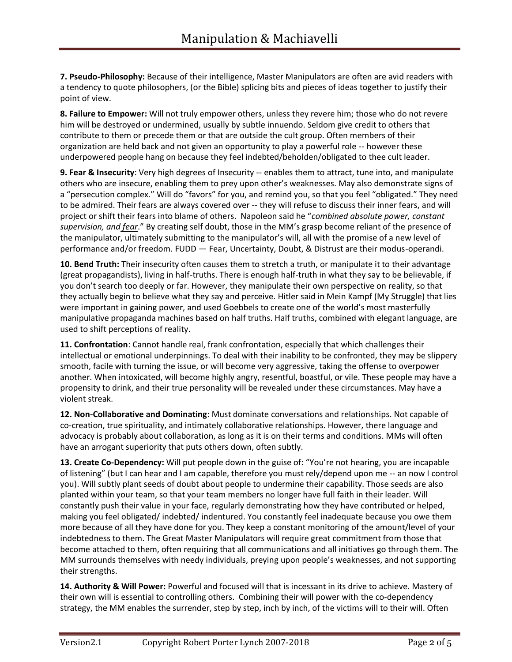**7. Pseudo-Philosophy:** Because of their intelligence, Master Manipulators are often are avid readers with a tendency to quote philosophers, (or the Bible) splicing bits and pieces of ideas together to justify their point of view.

**8. Failure to Empower:** Will not truly empower others, unless they revere him; those who do not revere him will be destroyed or undermined, usually by subtle innuendo. Seldom give credit to others that contribute to them or precede them or that are outside the cult group. Often members of their organization are held back and not given an opportunity to play a powerful role -- however these underpowered people hang on because they feel indebted/beholden/obligated to thee cult leader.

**9. Fear & Insecurity**: Very high degrees of Insecurity -- enables them to attract, tune into, and manipulate others who are insecure, enabling them to prey upon other's weaknesses. May also demonstrate signs of a "persecution complex." Will do "favors" for you, and remind you, so that you feel "obligated." They need to be admired. Their fears are always covered over -- they will refuse to discuss their inner fears, and will project or shift their fears into blame of others. Napoleon said he "*combined absolute power, constant supervision, and fear*." By creating self doubt, those in the MM's grasp become reliant of the presence of the manipulator, ultimately submitting to the manipulator's will, all with the promise of a new level of performance and/or freedom. FUDD — Fear, Uncertainty, Doubt, & Distrust are their modus-operandi.

**10. Bend Truth:** Their insecurity often causes them to stretch a truth, or manipulate it to their advantage (great propagandists), living in half-truths. There is enough half-truth in what they say to be believable, if you don't search too deeply or far. However, they manipulate their own perspective on reality, so that they actually begin to believe what they say and perceive. Hitler said in Mein Kampf (My Struggle) that lies were important in gaining power, and used Goebbels to create one of the world's most masterfully manipulative propaganda machines based on half truths. Half truths, combined with elegant language, are used to shift perceptions of reality.

**11. Confrontation**: Cannot handle real, frank confrontation, especially that which challenges their intellectual or emotional underpinnings. To deal with their inability to be confronted, they may be slippery smooth, facile with turning the issue, or will become very aggressive, taking the offense to overpower another. When intoxicated, will become highly angry, resentful, boastful, or vile. These people may have a propensity to drink, and their true personality will be revealed under these circumstances. May have a violent streak.

**12. Non-Collaborative and Dominating**: Must dominate conversations and relationships. Not capable of co-creation, true spirituality, and intimately collaborative relationships. However, there language and advocacy is probably about collaboration, as long as it is on their terms and conditions. MMs will often have an arrogant superiority that puts others down, often subtly.

**13. Create Co-Dependency:** Will put people down in the guise of: "You're not hearing, you are incapable of listening" (but I can hear and I am capable, therefore you must rely/depend upon me -- an now I control you). Will subtly plant seeds of doubt about people to undermine their capability. Those seeds are also planted within your team, so that your team members no longer have full faith in their leader. Will constantly push their value in your face, regularly demonstrating how they have contributed or helped, making you feel obligated/ indebted/ indentured. You constantly feel inadequate because you owe them more because of all they have done for you. They keep a constant monitoring of the amount/level of your indebtedness to them. The Great Master Manipulators will require great commitment from those that become attached to them, often requiring that all communications and all initiatives go through them. The MM surrounds themselves with needy individuals, preying upon people's weaknesses, and not supporting their strengths.

**14. Authority & Will Power:** Powerful and focused will that is incessant in its drive to achieve. Mastery of their own will is essential to controlling others. Combining their will power with the co-dependency strategy, the MM enables the surrender, step by step, inch by inch, of the victims will to their will. Often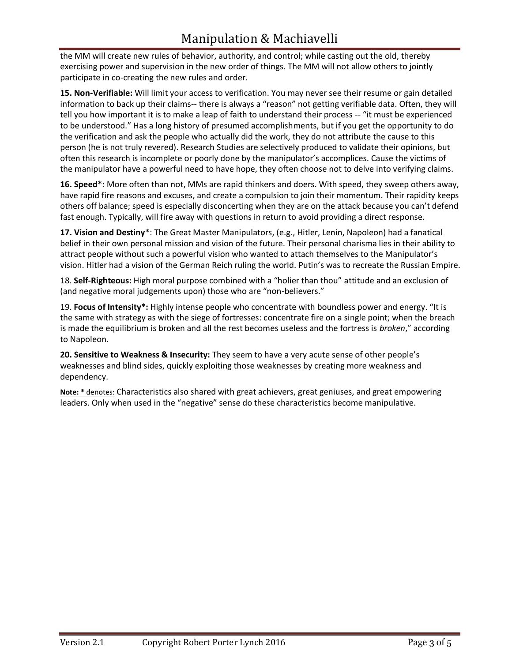the MM will create new rules of behavior, authority, and control; while casting out the old, thereby exercising power and supervision in the new order of things. The MM will not allow others to jointly participate in co-creating the new rules and order.

**15. Non-Verifiable:** Will limit your access to verification. You may never see their resume or gain detailed information to back up their claims-- there is always a "reason" not getting verifiable data. Often, they will tell you how important it is to make a leap of faith to understand their process -- "it must be experienced to be understood." Has a long history of presumed accomplishments, but if you get the opportunity to do the verification and ask the people who actually did the work, they do not attribute the cause to this person (he is not truly revered). Research Studies are selectively produced to validate their opinions, but often this research is incomplete or poorly done by the manipulator's accomplices. Cause the victims of the manipulator have a powerful need to have hope, they often choose not to delve into verifying claims.

**16. Speed\*:** More often than not, MMs are rapid thinkers and doers. With speed, they sweep others away, have rapid fire reasons and excuses, and create a compulsion to join their momentum. Their rapidity keeps others off balance; speed is especially disconcerting when they are on the attack because you can't defend fast enough. Typically, will fire away with questions in return to avoid providing a direct response.

**17. Vision and Destiny**\*: The Great Master Manipulators, (e.g., Hitler, Lenin, Napoleon) had a fanatical belief in their own personal mission and vision of the future. Their personal charisma lies in their ability to attract people without such a powerful vision who wanted to attach themselves to the Manipulator's vision. Hitler had a vision of the German Reich ruling the world. Putin's was to recreate the Russian Empire.

18. **Self-Righteous:** High moral purpose combined with a "holier than thou" attitude and an exclusion of (and negative moral judgements upon) those who are "non-believers."

19. **Focus of Intensity\*:** Highly intense people who concentrate with boundless power and energy. "It is the same with strategy as with the siege of fortresses: concentrate fire on a single point; when the breach is made the equilibrium is broken and all the rest becomes useless and the fortress is *broken*," according to Napoleon.

**20. Sensitive to Weakness & Insecurity:** They seem to have a very acute sense of other people's weaknesses and blind sides, quickly exploiting those weaknesses by creating more weakness and dependency.

**Note: \*** denotes: Characteristics also shared with great achievers, great geniuses, and great empowering leaders. Only when used in the "negative" sense do these characteristics become manipulative.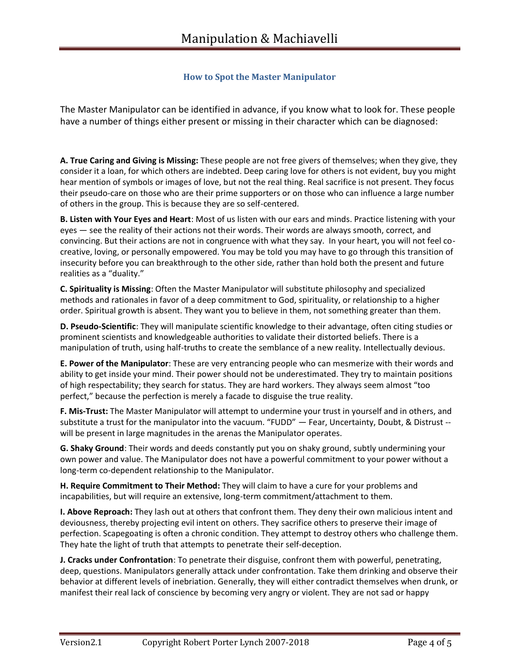## **How to Spot the Master Manipulator**

The Master Manipulator can be identified in advance, if you know what to look for. These people have a number of things either present or missing in their character which can be diagnosed:

**A. True Caring and Giving is Missing:** These people are not free givers of themselves; when they give, they consider it a loan, for which others are indebted. Deep caring love for others is not evident, buy you might hear mention of symbols or images of love, but not the real thing. Real sacrifice is not present. They focus their pseudo-care on those who are their prime supporters or on those who can influence a large number of others in the group. This is because they are so self-centered.

**B. Listen with Your Eyes and Heart**: Most of us listen with our ears and minds. Practice listening with your eyes — see the reality of their actions not their words. Their words are always smooth, correct, and convincing. But their actions are not in congruence with what they say. In your heart, you will not feel cocreative, loving, or personally empowered. You may be told you may have to go through this transition of insecurity before you can breakthrough to the other side, rather than hold both the present and future realities as a "duality."

**C. Spirituality is Missing**: Often the Master Manipulator will substitute philosophy and specialized methods and rationales in favor of a deep commitment to God, spirituality, or relationship to a higher order. Spiritual growth is absent. They want you to believe in them, not something greater than them.

**D. Pseudo-Scientific**: They will manipulate scientific knowledge to their advantage, often citing studies or prominent scientists and knowledgeable authorities to validate their distorted beliefs. There is a manipulation of truth, using half-truths to create the semblance of a new reality. Intellectually devious.

**E. Power of the Manipulator**: These are very entrancing people who can mesmerize with their words and ability to get inside your mind. Their power should not be underestimated. They try to maintain positions of high respectability; they search for status. They are hard workers. They always seem almost "too perfect," because the perfection is merely a facade to disguise the true reality.

**F. Mis-Trust:** The Master Manipulator will attempt to undermine your trust in yourself and in others, and substitute a trust for the manipulator into the vacuum. "FUDD" — Fear, Uncertainty, Doubt, & Distrust - will be present in large magnitudes in the arenas the Manipulator operates.

**G. Shaky Ground**: Their words and deeds constantly put you on shaky ground, subtly undermining your own power and value. The Manipulator does not have a powerful commitment to your power without a long-term co-dependent relationship to the Manipulator.

**H. Require Commitment to Their Method:** They will claim to have a cure for your problems and incapabilities, but will require an extensive, long-term commitment/attachment to them.

**I. Above Reproach:** They lash out at others that confront them. They deny their own malicious intent and deviousness, thereby projecting evil intent on others. They sacrifice others to preserve their image of perfection. Scapegoating is often a chronic condition. They attempt to destroy others who challenge them. They hate the light of truth that attempts to penetrate their self-deception.

**J. Cracks under Confrontation**: To penetrate their disguise, confront them with powerful, penetrating, deep, questions. Manipulators generally attack under confrontation. Take them drinking and observe their behavior at different levels of inebriation. Generally, they will either contradict themselves when drunk, or manifest their real lack of conscience by becoming very angry or violent. They are not sad or happy